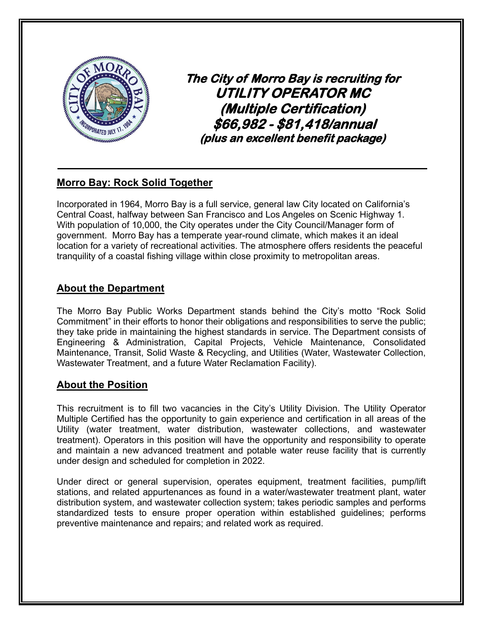

**The City of Morro Bay is recruiting for UTILITY OPERATOR MC (Multiple Certification) \$66,982 - \$81,418/annual (plus an excellent benefit package)** 

# **Morro Bay: Rock Solid Together**

Incorporated in 1964, Morro Bay is a full service, general law City located on California's Central Coast, halfway between San Francisco and Los Angeles on Scenic Highway 1. With population of 10,000, the City operates under the City Council/Manager form of government. Morro Bay has a temperate year-round climate, which makes it an ideal location for a variety of recreational activities. The atmosphere offers residents the peaceful tranquility of a coastal fishing village within close proximity to metropolitan areas.

# **About the Department**

The Morro Bay Public Works Department stands behind the City's motto "Rock Solid Commitment" in their efforts to honor their obligations and responsibilities to serve the public; they take pride in maintaining the highest standards in service. The Department consists of Engineering & Administration, Capital Projects, Vehicle Maintenance, Consolidated Maintenance, Transit, Solid Waste & Recycling, and Utilities (Water, Wastewater Collection, Wastewater Treatment, and a future Water Reclamation Facility).

## **About the Position**

This recruitment is to fill two vacancies in the City's Utility Division. The Utility Operator Multiple Certified has the opportunity to gain experience and certification in all areas of the Utility (water treatment, water distribution, wastewater collections, and wastewater treatment). Operators in this position will have the opportunity and responsibility to operate and maintain a new advanced treatment and potable water reuse facility that is currently under design and scheduled for completion in 2022.

Under direct or general supervision, operates equipment, treatment facilities, pump/lift stations, and related appurtenances as found in a water/wastewater treatment plant, water distribution system, and wastewater collection system; takes periodic samples and performs standardized tests to ensure proper operation within established guidelines; performs preventive maintenance and repairs; and related work as required.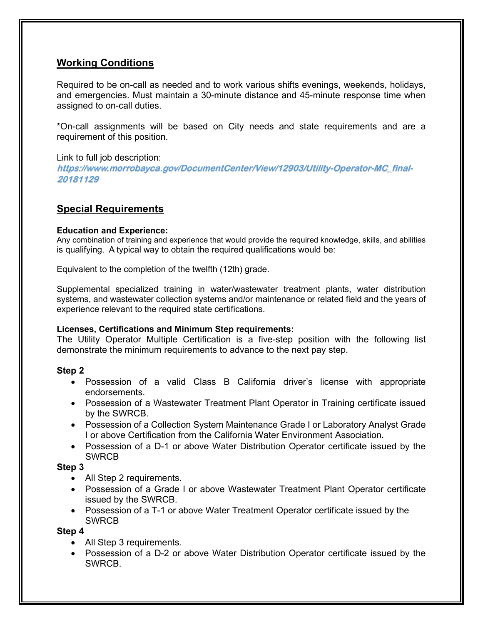## **Working Conditions**

Required to be on-call as needed and to work various shifts evenings, weekends, holidays, and emergencies. Must maintain a 30-minute distance and 45-minute response time when assigned to on-call duties.

\*On-call assignments will be based on City needs and state requirements and are a requirement of this position.

#### Link to full job description:

**https://www.morrobayca.gov/DocumentCenter/View/12903/Utility-Operator-MC\_final-20181129**

## **Special Requirements**

#### **Education and Experience:**

Any combination of training and experience that would provide the required knowledge, skills, and abilities is qualifying. A typical way to obtain the required qualifications would be:

Equivalent to the completion of the twelfth (12th) grade.

Supplemental specialized training in water/wastewater treatment plants, water distribution systems, and wastewater collection systems and/or maintenance or related field and the years of experience relevant to the required state certifications.

#### **Licenses, Certifications and Minimum Step requirements:**

The Utility Operator Multiple Certification is a five-step position with the following list demonstrate the minimum requirements to advance to the next pay step.

### **Step 2**

- Possession of a valid Class B California driver's license with appropriate endorsements.
- Possession of a Wastewater Treatment Plant Operator in Training certificate issued by the SWRCB.
- Possession of a Collection System Maintenance Grade I or Laboratory Analyst Grade I or above Certification from the California Water Environment Association.
- Possession of a D-1 or above Water Distribution Operator certificate issued by the SWRCB

### **Step 3**

- All Step 2 requirements.
- Possession of a Grade I or above Wastewater Treatment Plant Operator certificate issued by the SWRCB.
- Possession of a T-1 or above Water Treatment Operator certificate issued by the **SWRCB**

#### **Step 4**

- All Step 3 requirements.
- Possession of a D-2 or above Water Distribution Operator certificate issued by the SWRCB.